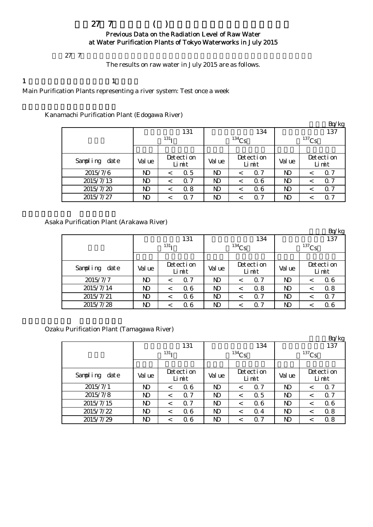## $27$  7 ( ) Previous Data on the Radiation Level of Raw Water at Water Purification Plants of Tokyo Waterworks in July 2015

 $27 \t7$ 

The results on raw water in July 2015 are as follows.

1  $\qquad \qquad 1$ 

Main Purification Plants representing a river system: Test once a week

### Kanamachi Purification Plant (Edogawa River)

|               | ້      |                       |        |                    |          | Bq/kg                 |  |  |  |
|---------------|--------|-----------------------|--------|--------------------|----------|-----------------------|--|--|--|
|               |        | 131                   |        | 134                |          | 137                   |  |  |  |
|               |        | 131 <sub>T</sub>      |        | $134$ Cs           | $137$ Cs |                       |  |  |  |
|               |        |                       |        |                    |          |                       |  |  |  |
| Sampling date | Val ue | Detection<br>Limit    | Val ue | Detection<br>Limit | Val ue   | Detection<br>Limit    |  |  |  |
| 2015/7/6      | ND     | 0.5<br>$\,<\,$        | ND     | $\Omega$ 7         | ND       | $\alpha$ 7<br><       |  |  |  |
| 2015/7/13     | ND     | $\Omega$ 7<br>$\,<\,$ | ND     | 06                 | ND       | $\alpha$ 7<br>$\,<\,$ |  |  |  |
| 2015/7/20     | ND     | 0.8<br>$\,<\,$        | N)     | 06                 | N)       | $\alpha$ 7<br>≺       |  |  |  |
| 2015/7/27     | ND     | $\alpha$ 7<br>$\,<\,$ | N)     | Q 7                | ND       | $\alpha$ 7            |  |  |  |

Asaka Purification Plant (Arakawa River)

|               |                |                    |                |                    |                | Bq/kg                 |  |  |
|---------------|----------------|--------------------|----------------|--------------------|----------------|-----------------------|--|--|
|               |                | 131                |                | 134                | 137            |                       |  |  |
|               |                | 131 <sub>T</sub>   |                | $134$ Cs           | $137$ Cs       |                       |  |  |
|               |                |                    |                |                    |                |                       |  |  |
| Sampling date | Val ue         | Detection<br>Limit | Val ue         | Detection<br>Limit | Val ue         | Detection<br>Limit    |  |  |
| 2015/7/7      | N <sub>D</sub> | $\Omega$ 7<br><    | <b>ND</b>      | $\Omega$ 7         | ND.            | 06<br><               |  |  |
| 2015/7/14     | ND             | 06<br><            | N <sub>D</sub> | 0.8                | ND             | 0.8<br><              |  |  |
| 2015/7/21     | ND             | 06<br><            | ND             | $\Omega$ 7         | ND             | $\Omega$ 7<br>$\,<\,$ |  |  |
| 2015/7/28     | ND             | 06<br><            | ND             | 7<br>0             | N <sub>D</sub> | 06                    |  |  |

Ozaku Purification Plant (Tamagawa River)

|               |        |                    |           |                    |            | Bq/kg                 |  |  |
|---------------|--------|--------------------|-----------|--------------------|------------|-----------------------|--|--|
|               |        | 131                |           | 134                | 137        |                       |  |  |
|               |        | 131 <sub>T</sub>   |           | $^{134}Cs$         | $^{137}Cs$ |                       |  |  |
|               |        |                    |           |                    |            |                       |  |  |
| Sampling date | Val ue | Detection<br>Limit | Val ue    | Detection<br>Limit | Val ue     | Detection<br>Limit    |  |  |
| 2015/7/1      | ND     | 06<br><            | <b>ND</b> | $\Omega$ 7         | N)         | $\alpha$ 7<br><       |  |  |
| 2015/7/8      | ND     | Q 7<br>$\,<\,$     | ND        | 0.5<br>≺           | ND         | $\alpha$ 7<br>$\,<\,$ |  |  |
| 2015/7/15     | ND     | 0.7<br><           | <b>ND</b> | 06                 | <b>ND</b>  | 06<br><               |  |  |
| 2015/7/22     | ND     | Q 6<br>$\,<\,$     | <b>ND</b> | Q 4<br><           | N)         | 0.8<br>$\,<\,$        |  |  |
| 2015/7/29     | ND     | Q 6<br><           | ND        | Q 7                | ND         | 0.8<br><              |  |  |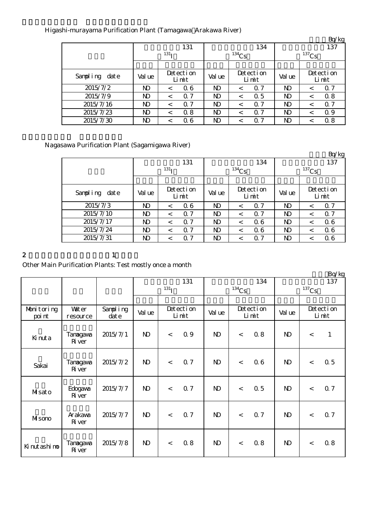## Higashi-murayama Purification Plant (Tamagawa Arakawa River)

|               |        |                    |           |                    |        | <b>E</b> q/kg      |  |  |
|---------------|--------|--------------------|-----------|--------------------|--------|--------------------|--|--|
|               |        | 131                |           | 134                | 137    |                    |  |  |
|               |        | 131 <sub>T</sub>   |           | $^{134}Cs$         |        | $137$ Cs           |  |  |
|               |        |                    |           |                    |        |                    |  |  |
| Sampling date | Val ue | Detection<br>Limit | Val ue    | Detection<br>Limit | Val ue | Detection<br>Limit |  |  |
| 2015/7/2      | ND     | 06<br><            | <b>ND</b> | $\Omega$ 7         | N)     | $\alpha$ 7<br><    |  |  |
| 2015/7/9      | ND     | Q 7<br>$\,<\,$     | ND        | 0.5                | ND     | 0.8<br><           |  |  |
| 2015/7/16     | ND     | $\alpha$ 7<br><    | ND        | $\Omega$ 7         | ND     | $\alpha$ 7<br><    |  |  |
| 2015/7/23     | ND     | 0.8<br>$\,<\,$     | ND        | $\Omega$ 7         | ND     | 0.9<br><           |  |  |
| 2015/7/30     | ND     | Q 6                | ND        | Q 7                | ND     | 0.8                |  |  |

# Nagasawa Purification Plant (Sagamigawa River)

|               |        |                          |           |                       |            | Bq/kg                 |  |  |
|---------------|--------|--------------------------|-----------|-----------------------|------------|-----------------------|--|--|
|               |        | 131                      |           | 134                   | 137        |                       |  |  |
|               |        | 131 <sub>T</sub>         |           | $^{134}Cs$            | $^{137}Cs$ |                       |  |  |
|               |        |                          |           |                       |            |                       |  |  |
| Sampling date | Val ue | Detection<br>Limit       | Val ue    | Detection<br>Limit    | Val ue     | Detection<br>Limit    |  |  |
| 2015/7/3      | ND.    | 06<br><                  | <b>ND</b> | $\Omega$ 7            | <b>ND</b>  | $\Omega$ 7<br><       |  |  |
| 2015/7/10     | ND     | $\Omega$ 7<br>$\,<\,$    | ND        | $\Omega$ 7<br>$\,<\,$ | ND         | $\alpha$ 7<br>$\,<\,$ |  |  |
| 2015/7/17     | ND     | 7<br>$\Omega$<br>$\,<\,$ | <b>ND</b> | 06<br>≺               | <b>ND</b>  | 06<br><               |  |  |
| 2015/7/24     | ND     | $\alpha$ 7<br>$\,<\,$    | ND        | 06<br>$\,<\,$         | ND         | 06<br>≺               |  |  |
| 2015/7/31     | ND     | 7<br>Ω                   | ND        | Q 7                   | ND         | Q 6                   |  |  |

#### 2 and  $\lambda$  1

# Other Main Purification Plants: Test mostly once a month

|                      |                           |                      |              |                  |                    |              |                    |     |              |         | $DQ$ kg            |
|----------------------|---------------------------|----------------------|--------------|------------------|--------------------|--------------|--------------------|-----|--------------|---------|--------------------|
|                      |                           |                      | 131          |                  |                    |              |                    | 134 | 137          |         |                    |
|                      |                           |                      |              | 131 <sub>T</sub> |                    | $134$ Cs     |                    |     | $137$ Cs     |         |                    |
|                      |                           |                      |              |                  |                    |              |                    |     |              |         |                    |
| Monitoring<br>poi nt | <b>Vater</b><br>resource  | Sampling<br>$\det e$ | Val ue       |                  | Detection<br>Limit |              | Detection<br>Limit |     | Val ue       |         | Detection<br>Limit |
| Kinuta               | Tanagawa<br><b>R</b> ver  | 2015/7/1             | $\mathbf{D}$ | $\prec$          | Q 9                | $\mathbf{D}$ | $\lt$              | 0.8 | $\mathbf{D}$ | $\,<\,$ | $\mathbf{1}$       |
| Sakai                | Tanagawa<br><b>R</b> iver | 2015/7/2             | $\mathbf{D}$ | $\lt$            | 0.7                | $\mathbf{D}$ | $\lt$              | 06  | $\mathbf{D}$ | $\lt$   | 0.5                |
| Masato               | Edogava<br><b>R</b> ver   | 2015/7/7             | $\mathbf{D}$ | $\lt$            | 0.7                | $\mathbf{D}$ | $\lt$              | 0.5 | $\mathbf{D}$ | $\lt$   | Q 7                |
| MIsono               | Arakawa<br><b>R</b> ver   | 2015/7/7             | $\mathbf{D}$ | $\lt$            | 0.7                | $\mathbf{D}$ | $\lt$              | Q 7 | $\mathbf{D}$ | $\lt$   | 0.7                |
| Ki nut ashi no       | Tanagawa<br><b>R</b> ver  | 2015/7/8             | $\mathbf{D}$ | $\lt$            | 0.8                | $\mathbf{N}$ | $\lt$              | 0.8 | $\mathbf{D}$ | $\,<$   | 0.8                |

 $R_{\alpha}/k_{\alpha}$ 

 $B_0/ka$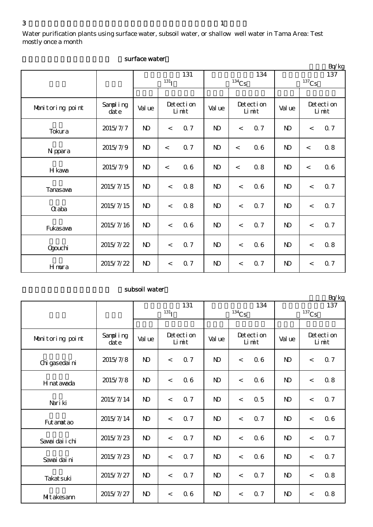Water purification plants using surface water, subsoil water, or shallow well water in Tama Area: Test mostly once a month

|                  |                      |              |            |                    |              |                          |     |              |       | Bq/kg              |
|------------------|----------------------|--------------|------------|--------------------|--------------|--------------------------|-----|--------------|-------|--------------------|
|                  |                      |              |            | 131                |              |                          | 134 | 137          |       |                    |
|                  |                      |              | $^{131}$ I |                    |              | $^{134}\mathrm{Cs}$      |     | $137$ Cs     |       |                    |
|                  |                      |              |            |                    |              |                          |     |              |       |                    |
| Monitoring point | Sampling<br>$\det e$ | Val ue       |            | Detection<br>Limit |              | Detection<br>Limit       |     | Val ue       |       | Detection<br>Limit |
| Tokura           | 2015/7/7             | $\mathbf{D}$ | $\lt$      | 0.7                | $\mathbf{D}$ | $\overline{\phantom{a}}$ | 0.7 | $\mathbf{D}$ | $\lt$ | 0.7                |
| N ppara          | 2015/7/9             | $\mathbf{D}$ | $\prec$    | <b>Q</b> 7         | $\mathbf{D}$ | $\lt$                    | 0.6 | $\mathbf{D}$ | $\lt$ | 0.8                |
| H kava           | 2015/7/9             | $\mathbf{D}$ | $\prec$    | 06                 | $\mathbf{D}$ | $\prec$                  | 0.8 | $\mathbf{D}$ | $\lt$ | 06                 |
| Tanasava         | 2015/7/15            | $\mathbf{N}$ | $\,<\,$    | 0.8                | $\mathbf{D}$ | $\,<$                    | 06  | $\mathbf{D}$ | $\,<$ | 0.7                |
| <b>Q</b> aba     | 2015/7/15            | $\mathbf{N}$ | $\lt$      | 0.8                | $\mathbf{D}$ | $\overline{\phantom{a}}$ | Q 7 | $\mathbf{D}$ | $\lt$ | <b>Q</b> 7         |
| Fukasawa         | 2015/7/16            | $\mathbf{N}$ | $\,<$      | 06                 | $\mathbf{D}$ | $\,<$                    | 0.7 | $\mathbf{D}$ | $\,<$ | 0.7                |
| <b>Ogouchi</b>   | 2015/7/22            | $\mathbf{D}$ | $\prec$    | Q <sub>7</sub>     | $\mathbf{D}$ | $\lt$                    | 06  | $\mathbf{D}$ | $\,<$ | 0.8                |
| Hmura            | 2015/7/22            | $\mathbf{D}$ | $\,<\,$    | 0.7                | $\mathbf{D}$ | $\,<$                    | 0.7 | $\mathbf{D}$ | $\,<$ | 0.7                |

#### surface water

#### subsoil water

|                  |                  | 131          |                    |                |              |                    | 134 | $L_V$ $R_S$<br>137 |                |                    |
|------------------|------------------|--------------|--------------------|----------------|--------------|--------------------|-----|--------------------|----------------|--------------------|
|                  |                  |              | $^{131}I$          |                | $134$ Cs     |                    |     | $137$ Cs           |                |                    |
|                  |                  |              |                    |                |              |                    |     |                    |                |                    |
| Monitoring point | Sampling<br>date | Val ue       | Detection<br>Limit |                | Val ue       | Detection<br>Limit |     | Val ue             |                | Detection<br>Limit |
| Chi gasedai ni   | 2015/7/8         | $\mathbf{D}$ | $\lt$              | Q <sub>7</sub> | $\mathbf{D}$ | $\lt$              | 06  | $\mathbf{D}$       | $\,<$          | 0.7                |
| H nat awada      | 2015/7/8         | $\mathbf{N}$ | $\,<\,$            | 06             | $\mathbf{D}$ | $\lt$              | 06  | $\mathbf{D}$       | $\,<$          | 0.8                |
| Nari ki          | 2015/7/14        | $\mathbf{N}$ | $\lt$              | 0.7            | $\mathbf{D}$ | $\lt$              | 0.5 | $\mathbf{D}$       | $\overline{a}$ | <b>Q</b> 7         |
| Fut anat ao      | 2015/7/14        | $\mathbf{N}$ | $\,<$              | <b>Q7</b>      | $\mathbf{D}$ | $\lt$              | 0.7 | $\mathbf{D}$       | $\,<$          | 06                 |
| Savai dai i chi  | 2015/7/23        | $\mathbf{N}$ | $\lt$              | Q <sub>7</sub> | $\mathbf{D}$ | $\lt$              | 06  | $\mathbf{D}$       | $\,<$          | 0.7                |
| Savai dai ni     | 2015/7/23        | $\mathbf{N}$ | $\lt$              | 0.7            | $\mathbf{D}$ | $\lt$              | 06  | $\mathbf{D}$       | $\,<$          | 0.7                |
| Takat suki       | 2015/7/27        | $\mathbf{N}$ | $\lt$              | 0.7            | $\mathbf{D}$ | $\lt$              | 0.7 | $\mathbf{D}$       | $\lt$          | 0.8                |
| MIt akesann      | 2015/7/27        | $\mathbf{N}$ | $\,<\,$            | 06             | $\mathbf{D}$ | $\lt$              | 0.7 | $\mathbf{D}$       | $\,<$          | 0.8                |

 $R_0/k_0$